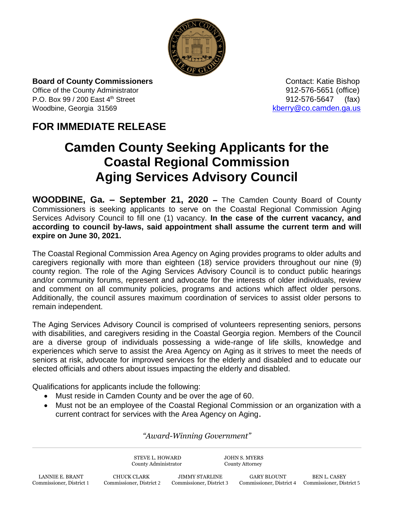

**Board of County Commissioners Contact: Katie Bishop** Contact: Katie Bishop Office of the County Administrator 912-576-5651 (office) P.O. Box 99 / 200 East 4<sup>th</sup> Street 912-576-5647 (fax) Woodbine, Georgia 31569 [kberry@co.camden.ga.us](mailto:kberry@co.camden.ga.us)

## **FOR IMMEDIATE RELEASE**

## **Camden County Seeking Applicants for the Coastal Regional Commission Aging Services Advisory Council**

**WOODBINE, Ga. – September 21, 2020 –** The Camden County Board of County Commissioners is seeking applicants to serve on the Coastal Regional Commission Aging Services Advisory Council to fill one (1) vacancy. **In the case of the current vacancy, and according to council by-laws, said appointment shall assume the current term and will expire on June 30, 2021.** 

The Coastal Regional Commission Area Agency on Aging provides programs to older adults and caregivers regionally with more than eighteen (18) service providers throughout our nine (9) county region. The role of the Aging Services Advisory Council is to conduct public hearings and/or community forums, represent and advocate for the interests of older individuals, review and comment on all community policies, programs and actions which affect older persons. Additionally, the council assures maximum coordination of services to assist older persons to remain independent.

The Aging Services Advisory Council is comprised of volunteers representing seniors, persons with disabilities, and caregivers residing in the Coastal Georgia region. Members of the Council are a diverse group of individuals possessing a wide-range of life skills, knowledge and experiences which serve to assist the Area Agency on Aging as it strives to meet the needs of seniors at risk, advocate for improved services for the elderly and disabled and to educate our elected officials and others about issues impacting the elderly and disabled.

Qualifications for applicants include the following:

- Must reside in Camden County and be over the age of 60.
- Must not be an employee of the Coastal Regional Commission or an organization with a current contract for services with the Area Agency on Aging.

*"Award-Winning Government"*

STEVE L. HOWARD JOHN S. MYERS County Administrator County Attorney